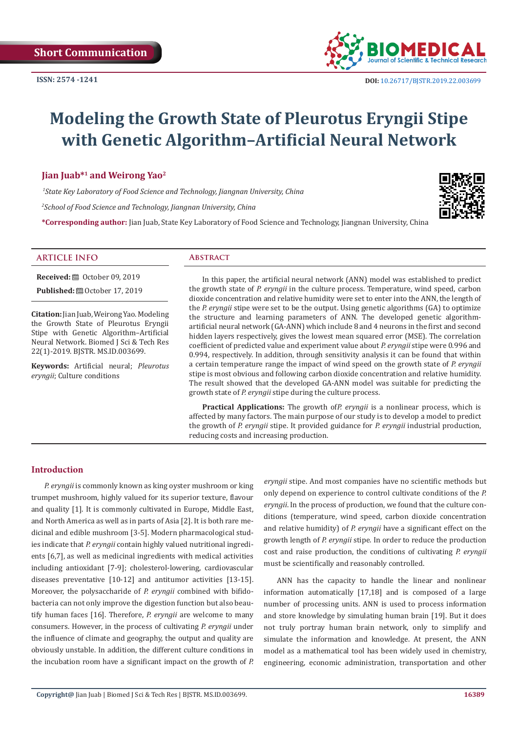

# **Modeling the Growth State of Pleurotus Eryngii Stipe with Genetic Algorithm–Artificial Neural Network**

# **Jian Juab\*1 and Weirong Yao2**

 *1State Key Laboratory of Food Science and Technology, Jiangnan University, China 2 School of Food Science and Technology, Jiangnan University, China*



**\*Corresponding author:** Jian Juab, State Key Laboratory of Food Science and Technology, Jiangnan University, China

#### **ARTICLE INFO Abstract**

**Received:** ■ October 09, 2019

**Published:** ■ October 17, 2019

**Citation:** Jian Juab, Weirong Yao. Modeling the Growth State of Pleurotus Eryngii Stipe with Genetic Algorithm–Artificial Neural Network. Biomed J Sci & Tech Res 22(1)-2019. BJSTR. MS.ID.003699.

**Keywords:** Artificial neural; *Pleurotus eryngii*; Culture conditions

In this paper, the artificial neural network (ANN) model was established to predict the growth state of *P. eryngii* in the culture process. Temperature, wind speed, carbon dioxide concentration and relative humidity were set to enter into the ANN, the length of the *P. eryngii* stipe were set to be the output. Using genetic algorithms (GA) to optimize the structure and learning parameters of ANN. The developed genetic algorithmartificial neural network (GA-ANN) which include 8 and 4 neurons in the first and second hidden layers respectively, gives the lowest mean squared error (MSE). The correlation coefficient of predicted value and experiment value about *P. eryngii* stipe were 0.996 and 0.994, respectively. In addition, through sensitivity analysis it can be found that within a certain temperature range the impact of wind speed on the growth state of *P. eryngii* stipe is most obvious and following carbon dioxide concentration and relative humidity. The result showed that the developed GA-ANN model was suitable for predicting the growth state of *P. eryngii* stipe during the culture process.

**Practical Applications:** The growth of*P. eryngii* is a nonlinear process, which is affected by many factors. The main purpose of our study is to develop a model to predict the growth of *P. eryngii* stipe. It provided guidance for *P. eryngii* industrial production, reducing costs and increasing production.

# **Introduction**

*P. eryngii* is commonly known as king oyster mushroom or king trumpet mushroom, highly valued for its superior texture, flavour and quality [1]. It is commonly cultivated in Europe, Middle East, and North America as well as in parts of Asia [2]. It is both rare medicinal and edible mushroom [3-5]. Modern pharmacological studies indicate that *P. eryngii* contain highly valued nutritional ingredients [6,7], as well as medicinal ingredients with medical activities including antioxidant [7-9]; cholesterol-lowering, cardiovascular diseases preventative [10-12] and antitumor activities [13-15]. Moreover, the polysaccharide of *P. eryngii* combined with bifidobacteria can not only improve the digestion function but also beautify human faces [16]. Therefore, *P. eryngii* are welcome to many consumers. However, in the process of cultivating *P. eryngii* under the influence of climate and geography, the output and quality are obviously unstable. In addition, the different culture conditions in the incubation room have a significant impact on the growth of *P.* 

*eryngii* stipe. And most companies have no scientific methods but only depend on experience to control cultivate conditions of the *P. eryngii*. In the process of production, we found that the culture conditions (temperature, wind speed, carbon dioxide concentration and relative humidity) of *P. eryngii* have a significant effect on the growth length of *P. eryngii* stipe. In order to reduce the production cost and raise production, the conditions of cultivating *P. eryngii*  must be scientifically and reasonably controlled.

ANN has the capacity to handle the linear and nonlinear information automatically [17,18] and is composed of a large number of processing units. ANN is used to process information and store knowledge by simulating human brain [19]. But it does not truly portray human brain network, only to simplify and simulate the information and knowledge. At present, the ANN model as a mathematical tool has been widely used in chemistry, engineering, economic administration, transportation and other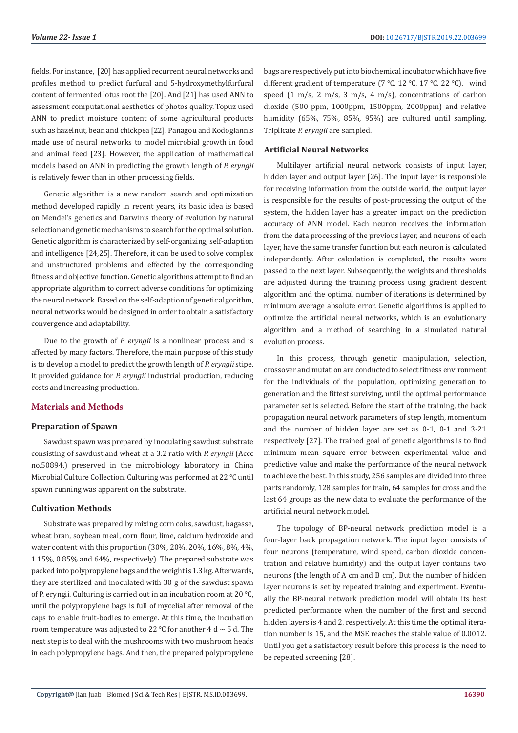fields. For instance, [20] has applied recurrent neural networks and profiles method to predict furfural and 5-hydroxymethylfurfural content of fermented lotus root the [20]. And [21] has used ANN to assessment computational aesthetics of photos quality. Topuz used ANN to predict moisture content of some agricultural products such as hazelnut, bean and chickpea [22]. Panagou and Kodogiannis made use of neural networks to model microbial growth in food and animal feed [23]. However, the application of mathematical models based on ANN in predicting the growth length of *P. eryngii*  is relatively fewer than in other processing fields.

Genetic algorithm is a new random search and optimization method developed rapidly in recent years, its basic idea is based on Mendel's genetics and Darwin's theory of evolution by natural selection and genetic mechanisms to search for the optimal solution. Genetic algorithm is characterized by self-organizing, self-adaption and intelligence [24,25]. Therefore, it can be used to solve complex and unstructured problems and effected by the corresponding fitness and objective function. Genetic algorithms attempt to find an appropriate algorithm to correct adverse conditions for optimizing the neural network. Based on the self-adaption of genetic algorithm, neural networks would be designed in order to obtain a satisfactory convergence and adaptability.

Due to the growth of *P. eryngii* is a nonlinear process and is affected by many factors. Therefore, the main purpose of this study is to develop a model to predict the growth length of *P. eryngii* stipe. It provided guidance for *P. eryngii* industrial production, reducing costs and increasing production.

# **Materials and Methods**

# **Preparation of Spawn**

Sawdust spawn was prepared by inoculating sawdust substrate consisting of sawdust and wheat at a 3:2 ratio with *P. eryngii* (Accc no.50894.) preserved in the microbiology laboratory in China Microbial Culture Collection. Culturing was performed at 22 ℃ until spawn running was apparent on the substrate.

# **Cultivation Methods**

Substrate was prepared by mixing corn cobs, sawdust, bagasse, wheat bran, soybean meal, corn flour, lime, calcium hydroxide and water content with this proportion (30%, 20%, 20%, 16%, 8%, 4%, 1.15%, 0.85% and 64%, respectively). The prepared substrate was packed into polypropylene bags and the weight is 1.3 kg. Afterwards, they are sterilized and inoculated with 30 g of the sawdust spawn of P. eryngii. Culturing is carried out in an incubation room at 20 ℃, until the polypropylene bags is full of mycelial after removal of the caps to enable fruit-bodies to emerge. At this time, the incubation room temperature was adjusted to 22 °C for another 4 d  $\sim$  5 d. The next step is to deal with the mushrooms with two mushroom heads in each polypropylene bags. And then, the prepared polypropylene

bags are respectively put into biochemical incubator which have five different gradient of temperature ( $7 \text{ °C}$ ,  $12 \text{ °C}$ ,  $17 \text{ °C}$ ,  $22 \text{ °C}$ ), wind speed  $(1 \text{ m/s}, 2 \text{ m/s}, 3 \text{ m/s}, 4 \text{ m/s})$ , concentrations of carbon dioxide (500 ppm, 1000ppm, 1500ppm, 2000ppm) and relative humidity (65%, 75%, 85%, 95%) are cultured until sampling. Triplicate *P. eryngii* are sampled.

# **Artificial Neural Networks**

Multilayer artificial neural network consists of input layer, hidden layer and output layer [26]. The input layer is responsible for receiving information from the outside world, the output layer is responsible for the results of post-processing the output of the system, the hidden layer has a greater impact on the prediction accuracy of ANN model. Each neuron receives the information from the data processing of the previous layer, and neurons of each layer, have the same transfer function but each neuron is calculated independently. After calculation is completed, the results were passed to the next layer. Subsequently, the weights and thresholds are adjusted during the training process using gradient descent algorithm and the optimal number of iterations is determined by minimum average absolute error. Genetic algorithms is applied to optimize the artificial neural networks, which is an evolutionary algorithm and a method of searching in a simulated natural evolution process.

In this process, through genetic manipulation, selection, crossover and mutation are conducted to select fitness environment for the individuals of the population, optimizing generation to generation and the fittest surviving, until the optimal performance parameter set is selected. Before the start of the training, the back propagation neural network parameters of step length, momentum and the number of hidden layer are set as 0-1, 0-1 and 3-21 respectively [27]. The trained goal of genetic algorithms is to find minimum mean square error between experimental value and predictive value and make the performance of the neural network to achieve the best. In this study, 256 samples are divided into three parts randomly, 128 samples for train, 64 samples for cross and the last 64 groups as the new data to evaluate the performance of the artificial neural network model.

The topology of BP-neural network prediction model is a four-layer back propagation network. The input layer consists of four neurons (temperature, wind speed, carbon dioxide concentration and relative humidity) and the output layer contains two neurons (the length of A cm and B cm). But the number of hidden layer neurons is set by repeated training and experiment. Eventually the BP-neural network prediction model will obtain its best predicted performance when the number of the first and second hidden layers is 4 and 2, respectively. At this time the optimal iteration number is 15, and the MSE reaches the stable value of 0.0012. Until you get a satisfactory result before this process is the need to be repeated screening [28].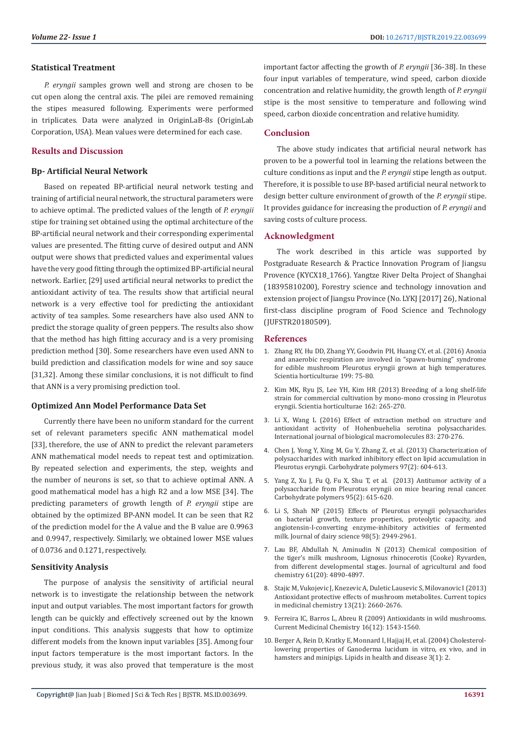#### **Statistical Treatment**

*P. eryngii* samples grown well and strong are chosen to be cut open along the central axis. The pilei are removed remaining the stipes measured following. Experiments were performed in triplicates. Data were analyzed in OriginLaB-8s (OriginLab Corporation, USA). Mean values were determined for each case.

## **Results and Discussion**

#### **Bp- Artificial Neural Network**

Based on repeated BP-artificial neural network testing and training of artificial neural network, the structural parameters were to achieve optimal. The predicted values of the length of *P. eryngii*  stipe for training set obtained using the optimal architecture of the BP-artificial neural network and their corresponding experimental values are presented. The fitting curve of desired output and ANN output were shows that predicted values and experimental values have the very good fitting through the optimized BP-artificial neural network. Earlier, [29] used artificial neural networks to predict the antioxidant activity of tea. The results show that artificial neural network is a very effective tool for predicting the antioxidant activity of tea samples. Some researchers have also used ANN to predict the storage quality of green peppers. The results also show that the method has high fitting accuracy and is a very promising prediction method [30]. Some researchers have even used ANN to build prediction and classification models for wine and soy sauce [31,32]. Among these similar conclusions, it is not difficult to find that ANN is a very promising prediction tool.

#### **Optimized Ann Model Performance Data Set**

Currently there have been no uniform standard for the current set of relevant parameters specific ANN mathematical model [33], therefore, the use of ANN to predict the relevant parameters ANN mathematical model needs to repeat test and optimization. By repeated selection and experiments, the step, weights and the number of neurons is set, so that to achieve optimal ANN. A good mathematical model has a high R2 and a low MSE [34]. The predicting parameters of growth length of *P. eryngii* stipe are obtained by the optimized BP-ANN model. It can be seen that R2 of the prediction model for the A value and the B value are 0.9963 and 0.9947, respectively. Similarly, we obtained lower MSE values of 0.0736 and 0.1271, respectively.

# **Sensitivity Analysis**

The purpose of analysis the sensitivity of artificial neural network is to investigate the relationship between the network input and output variables. The most important factors for growth length can be quickly and effectively screened out by the known input conditions. This analysis suggests that how to optimize different models from the known input variables [35]. Among four input factors temperature is the most important factors. In the previous study, it was also proved that temperature is the most important factor affecting the growth of *P. eryngii* [36-38]. In these four input variables of temperature, wind speed, carbon dioxide concentration and relative humidity, the growth length of *P. eryngii*  stipe is the most sensitive to temperature and following wind speed, carbon dioxide concentration and relative humidity.

#### **Conclusion**

The above study indicates that artificial neural network has proven to be a powerful tool in learning the relations between the culture conditions as input and the *P. eryngii* stipe length as output. Therefore, it is possible to use BP-based artificial neural network to design better culture environment of growth of the *P. eryngii* stipe. It provides guidance for increasing the production of *P. eryngii* and saving costs of culture process.

#### **Acknowledgment**

The work described in this article was supported by Postgraduate Research & Practice Innovation Program of Jiangsu Provence (KYCX18\_1766). Yangtze River Delta Project of Shanghai (18395810200), Forestry science and technology innovation and extension project of Jiangsu Province (No. LYKJ [2017] 26), National first-class discipline program of Food Science and Technology (JUFSTR20180509).

#### **References**

- 1. [Zhang RY, Hu DD, Zhang YY, Goodwin PH, Huang CY, et al. \(2016\) Anoxia](https://www.sciencedirect.com/science/article/pii/S0304423815303575) [and anaerobic respiration are involved in "spawn-burning" syndrome](https://www.sciencedirect.com/science/article/pii/S0304423815303575) [for edible mushroom Pleurotus eryngii grown at high temperatures.](https://www.sciencedirect.com/science/article/pii/S0304423815303575) [Scientia horticulturae 199: 75-80.](https://www.sciencedirect.com/science/article/pii/S0304423815303575)
- 2. [Kim MK, Ryu JS, Lee YH, Kim HR \(2013\) Breeding of a long shelf-life](https://www.sciencedirect.com/science/article/pii/S0304423813004378) [strain for commercial cultivation by mono-mono crossing in Pleurotus](https://www.sciencedirect.com/science/article/pii/S0304423813004378) [eryngii. Scientia horticulturae 162: 265-270.](https://www.sciencedirect.com/science/article/pii/S0304423813004378)
- 3. [Li X, Wang L \(2016\) Effect of extraction method on structure and](https://www.ncbi.nlm.nih.gov/pubmed/26627599) [antioxidant activity of Hohenbuehelia serotina polysaccharides.](https://www.ncbi.nlm.nih.gov/pubmed/26627599) [International journal of biological macromolecules 83: 270-276.](https://www.ncbi.nlm.nih.gov/pubmed/26627599)
- 4. [Chen J, Yong Y, Xing M, Gu Y, Zhang Z, et al. \(2013\) Characterization of](https://www.ncbi.nlm.nih.gov/pubmed/23911491) [polysaccharides with marked inhibitory effect on lipid accumulation in](https://www.ncbi.nlm.nih.gov/pubmed/23911491) [Pleurotus eryngii. Carbohydrate polymers 97\(2\): 604-613.](https://www.ncbi.nlm.nih.gov/pubmed/23911491)
- 5. [Yang Z, Xu J, Fu Q, Fu X, Shu T, et al. \(2013\) Antitumor activity of a](https://www.ncbi.nlm.nih.gov/pubmed/23648020) [polysaccharide from Pleurotus eryngii on mice bearing renal cancer.](https://www.ncbi.nlm.nih.gov/pubmed/23648020) [Carbohydrate polymers 95\(2\): 615-620.](https://www.ncbi.nlm.nih.gov/pubmed/23648020)
- 6. [Li S, Shah NP \(2015\) Effects of Pleurotus eryngii polysaccharides](https://www.ncbi.nlm.nih.gov/pubmed/25747830) [on bacterial growth, texture properties, proteolytic capacity, and](https://www.ncbi.nlm.nih.gov/pubmed/25747830) [angiotensin-I-converting enzyme-inhibitory activities of fermented](https://www.ncbi.nlm.nih.gov/pubmed/25747830) [milk. Journal of dairy science 98\(5\): 2949-2961.](https://www.ncbi.nlm.nih.gov/pubmed/25747830)
- 7. [Lau BF, Abdullah N, Aminudin N \(2013\) Chemical composition of](https://www.ncbi.nlm.nih.gov/pubmed/23597270) [the tiger's milk mushroom, Lignosus rhinocerotis \(Cooke\) Ryvarden,](https://www.ncbi.nlm.nih.gov/pubmed/23597270) [from different developmental stages. Journal of agricultural and food](https://www.ncbi.nlm.nih.gov/pubmed/23597270) [chemistry 61\(20\): 4890-4897.](https://www.ncbi.nlm.nih.gov/pubmed/23597270)
- 8. [Stajic M, Vukojevic J, Knezevic A, Duletic Lausevic S, Milovanovic I \(2013\)](https://www.ncbi.nlm.nih.gov/pubmed/24083793) [Antioxidant protective effects of mushroom metabolites. Current topics](https://www.ncbi.nlm.nih.gov/pubmed/24083793) [in medicinal chemistry 13\(21\): 2660-2676.](https://www.ncbi.nlm.nih.gov/pubmed/24083793)
- 9. [Ferreira IC, Barros L, Abreu R \(2009\) Antioxidants in wild mushrooms.](https://www.ncbi.nlm.nih.gov/pubmed/19355906) [Current Medicinal Chemistry 16\(12\): 1543-1560.](https://www.ncbi.nlm.nih.gov/pubmed/19355906)
- 10. [Berger A, Rein D, Kratky E, Monnard I, Hajjaj H, et al. \(2004\) Cholesterol](https://www.ncbi.nlm.nih.gov/pubmed/14969592)[lowering properties of Ganoderma lucidum in vitro, ex vivo, and in](https://www.ncbi.nlm.nih.gov/pubmed/14969592) [hamsters and minipigs. Lipids in health and disease 3\(1\): 2.](https://www.ncbi.nlm.nih.gov/pubmed/14969592)